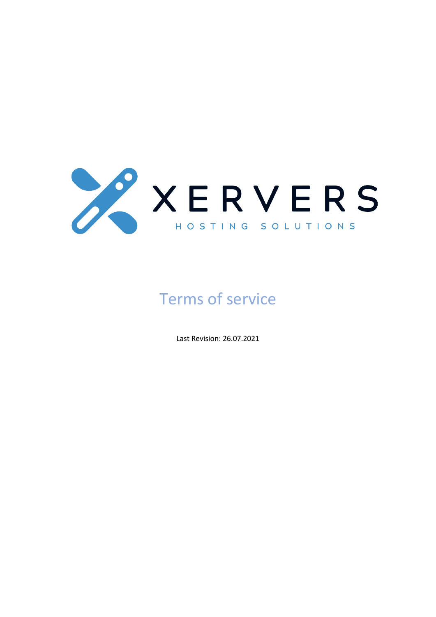

# Terms of service

Last Revision: 26.07.2021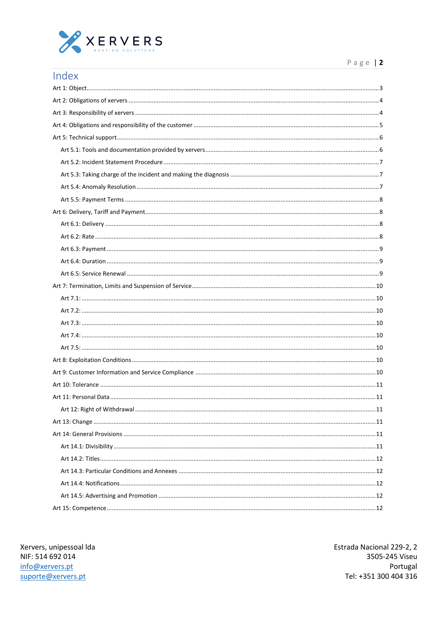

| Index                        |
|------------------------------|
|                              |
|                              |
|                              |
|                              |
|                              |
|                              |
|                              |
|                              |
|                              |
|                              |
|                              |
|                              |
|                              |
|                              |
|                              |
|                              |
|                              |
|                              |
|                              |
|                              |
|                              |
|                              |
|                              |
|                              |
|                              |
|                              |
| Art 11: Personal Data<br>.11 |
|                              |
|                              |
|                              |
|                              |
|                              |
|                              |
|                              |
|                              |

Xervers, unipessoal Ida NIF: 514 692 014 info@xervers.pt suporte@xervers.pt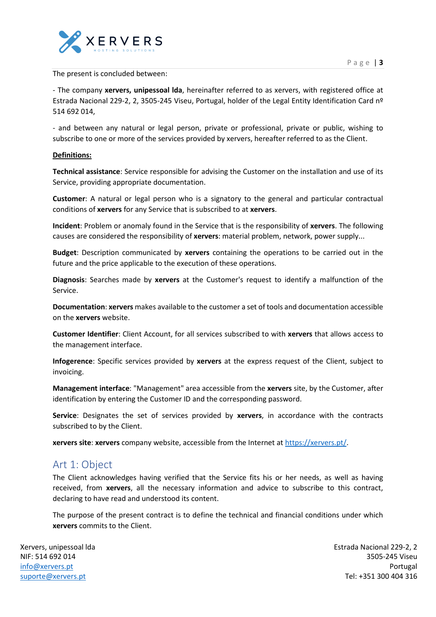

#### The present is concluded between:

- The company **xervers, unipessoal lda**, hereinafter referred to as xervers, with registered office at Estrada Nacional 229-2, 2, 3505-245 Viseu, Portugal, holder of the Legal Entity Identification Card nº 514 692 014,

- and between any natural or legal person, private or professional, private or public, wishing to subscribe to one or more of the services provided by xervers, hereafter referred to as the Client.

#### **Definitions:**

**Technical assistance**: Service responsible for advising the Customer on the installation and use of its Service, providing appropriate documentation.

**Customer**: A natural or legal person who is a signatory to the general and particular contractual conditions of **xervers** for any Service that is subscribed to at **xervers**.

**Incident**: Problem or anomaly found in the Service that is the responsibility of **xervers**. The following causes are considered the responsibility of **xervers**: material problem, network, power supply...

**Budget**: Description communicated by **xervers** containing the operations to be carried out in the future and the price applicable to the execution of these operations.

**Diagnosis**: Searches made by **xervers** at the Customer's request to identify a malfunction of the Service.

**Documentation**: **xervers** makes available to the customer a set of tools and documentation accessible on the **xervers** website.

**Customer Identifier**: Client Account, for all services subscribed to with **xervers** that allows access to the management interface.

**Infogerence**: Specific services provided by **xervers** at the express request of the Client, subject to invoicing.

**Management interface**: "Management" area accessible from the **xervers** site, by the Customer, after identification by entering the Customer ID and the corresponding password.

**Service**: Designates the set of services provided by **xervers**, in accordance with the contracts subscribed to by the Client.

**xervers site**: **xervers** company website, accessible from the Internet at [https://xervers.pt/.](https://xervers.pt/)

### <span id="page-2-0"></span>Art 1: Object

The Client acknowledges having verified that the Service fits his or her needs, as well as having received, from **xervers**, all the necessary information and advice to subscribe to this contract, declaring to have read and understood its content.

The purpose of the present contract is to define the technical and financial conditions under which **xervers** commits to the Client.

Xervers, unipessoal lda NIF: 514 692 014 [info@xervers.pt](mailto:info@xervers.pt) [suporte@xervers.pt](mailto:suporte@xervers.pt)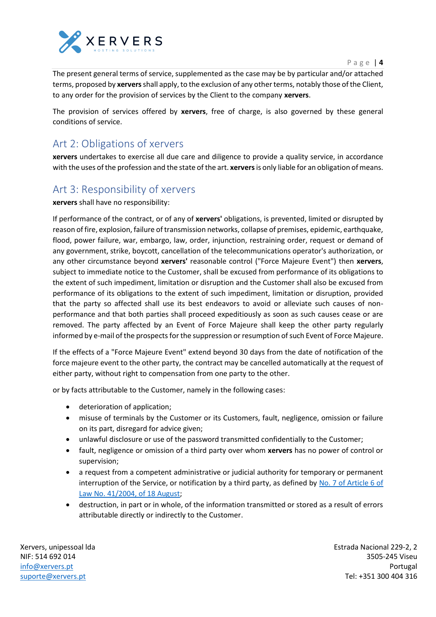

P a g e | **4**

The present general terms of service, supplemented as the case may be by particular and/or attached terms, proposed by **xervers**shall apply, to the exclusion of any other terms, notably those of the Client, to any order for the provision of services by the Client to the company **xervers**.

The provision of services offered by **xervers**, free of charge, is also governed by these general conditions of service.

# <span id="page-3-0"></span>Art 2: Obligations of xervers

**xervers** undertakes to exercise all due care and diligence to provide a quality service, in accordance with the uses of the profession and the state of the art. **xervers**is only liable for an obligation of means.

# <span id="page-3-1"></span>Art 3: Responsibility of xervers

**xervers** shall have no responsibility:

If performance of the contract, or of any of **xervers'** obligations, is prevented, limited or disrupted by reason of fire, explosion, failure of transmission networks, collapse of premises, epidemic, earthquake, flood, power failure, war, embargo, law, order, injunction, restraining order, request or demand of any government, strike, boycott, cancellation of the telecommunications operator's authorization, or any other circumstance beyond **xervers'** reasonable control ("Force Majeure Event") then **xervers**, subject to immediate notice to the Customer, shall be excused from performance of its obligations to the extent of such impediment, limitation or disruption and the Customer shall also be excused from performance of its obligations to the extent of such impediment, limitation or disruption, provided that the party so affected shall use its best endeavors to avoid or alleviate such causes of nonperformance and that both parties shall proceed expeditiously as soon as such causes cease or are removed. The party affected by an Event of Force Majeure shall keep the other party regularly informed by e-mail of the prospects for the suppression or resumption of such Event of Force Majeure.

If the effects of a "Force Majeure Event" extend beyond 30 days from the date of notification of the force majeure event to the other party, the contract may be cancelled automatically at the request of either party, without right to compensation from one party to the other.

or by facts attributable to the Customer, namely in the following cases:

- deterioration of application;
- misuse of terminals by the Customer or its Customers, fault, negligence, omission or failure on its part, disregard for advice given;
- unlawful disclosure or use of the password transmitted confidentially to the Customer;
- fault, negligence or omission of a third party over whom **xervers** has no power of control or supervision;
- a request from a competent administrative or judicial authority for temporary or permanent interruption of the Service, or notification by a third party, as defined by No. 7 of Article 6 of Law No. 41/2004, of 18 August;
- destruction, in part or in whole, of the information transmitted or stored as a result of errors attributable directly or indirectly to the Customer.

Xervers, unipessoal lda NIF: 514 692 014 [info@xervers.pt](mailto:info@xervers.pt) [suporte@xervers.pt](mailto:suporte@xervers.pt)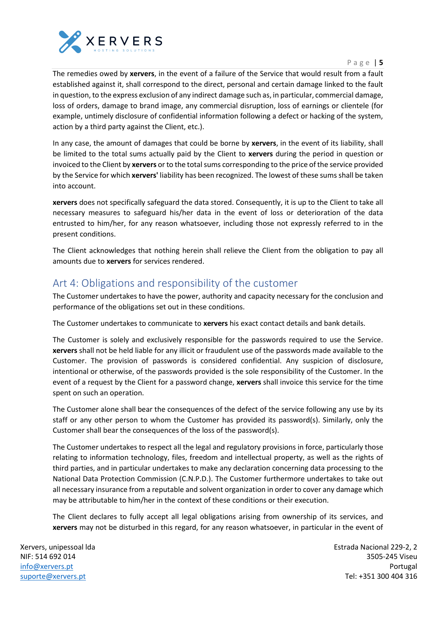

P a g e | **5**

The remedies owed by **xervers**, in the event of a failure of the Service that would result from a fault established against it, shall correspond to the direct, personal and certain damage linked to the fault in question, to the express exclusion of any indirect damage such as, in particular, commercial damage, loss of orders, damage to brand image, any commercial disruption, loss of earnings or clientele (for example, untimely disclosure of confidential information following a defect or hacking of the system, action by a third party against the Client, etc.).

In any case, the amount of damages that could be borne by **xervers**, in the event of its liability, shall be limited to the total sums actually paid by the Client to **xervers** during the period in question or invoiced to the Client by **xervers** or to the total sums corresponding to the price of the service provided by the Service for which **xervers'** liability has been recognized. The lowest of these sums shall be taken into account.

**xervers** does not specifically safeguard the data stored. Consequently, it is up to the Client to take all necessary measures to safeguard his/her data in the event of loss or deterioration of the data entrusted to him/her, for any reason whatsoever, including those not expressly referred to in the present conditions.

The Client acknowledges that nothing herein shall relieve the Client from the obligation to pay all amounts due to **xervers** for services rendered.

# <span id="page-4-0"></span>Art 4: Obligations and responsibility of the customer

The Customer undertakes to have the power, authority and capacity necessary for the conclusion and performance of the obligations set out in these conditions.

The Customer undertakes to communicate to **xervers** his exact contact details and bank details.

The Customer is solely and exclusively responsible for the passwords required to use the Service. **xervers** shall not be held liable for any illicit or fraudulent use of the passwords made available to the Customer. The provision of passwords is considered confidential. Any suspicion of disclosure, intentional or otherwise, of the passwords provided is the sole responsibility of the Customer. In the event of a request by the Client for a password change, **xervers** shall invoice this service for the time spent on such an operation.

The Customer alone shall bear the consequences of the defect of the service following any use by its staff or any other person to whom the Customer has provided its password(s). Similarly, only the Customer shall bear the consequences of the loss of the password(s).

The Customer undertakes to respect all the legal and regulatory provisions in force, particularly those relating to information technology, files, freedom and intellectual property, as well as the rights of third parties, and in particular undertakes to make any declaration concerning data processing to the National Data Protection Commission (C.N.P.D.). The Customer furthermore undertakes to take out all necessary insurance from a reputable and solvent organization in order to cover any damage which may be attributable to him/her in the context of these conditions or their execution.

The Client declares to fully accept all legal obligations arising from ownership of its services, and **xervers** may not be disturbed in this regard, for any reason whatsoever, in particular in the event of

Xervers, unipessoal lda NIF: 514 692 014 [info@xervers.pt](mailto:info@xervers.pt) [suporte@xervers.pt](mailto:suporte@xervers.pt)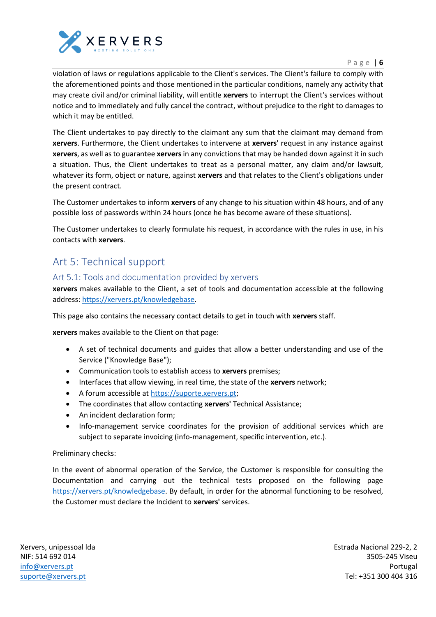

P a g e | **6**

violation of laws or regulations applicable to the Client's services. The Client's failure to comply with the aforementioned points and those mentioned in the particular conditions, namely any activity that may create civil and/or criminal liability, will entitle **xervers** to interrupt the Client's services without notice and to immediately and fully cancel the contract, without prejudice to the right to damages to which it may be entitled.

The Client undertakes to pay directly to the claimant any sum that the claimant may demand from **xervers**. Furthermore, the Client undertakes to intervene at **xervers'** request in any instance against **xervers**, as well as to guarantee **xervers** in any convictions that may be handed down against it in such a situation. Thus, the Client undertakes to treat as a personal matter, any claim and/or lawsuit, whatever its form, object or nature, against **xervers** and that relates to the Client's obligations under the present contract.

The Customer undertakes to inform **xervers** of any change to his situation within 48 hours, and of any possible loss of passwords within 24 hours (once he has become aware of these situations).

The Customer undertakes to clearly formulate his request, in accordance with the rules in use, in his contacts with **xervers**.

# <span id="page-5-0"></span>Art 5: Technical support

### <span id="page-5-1"></span>Art 5.1: Tools and documentation provided by xervers

**xervers** makes available to the Client, a set of tools and documentation accessible at the following address: [https://xervers.pt/knowledgebase.](https://xervers.pt/knowledgebase)

This page also contains the necessary contact details to get in touch with **xervers** staff.

**xervers** makes available to the Client on that page:

- A set of technical documents and guides that allow a better understanding and use of the Service ("Knowledge Base");
- Communication tools to establish access to **xervers** premises;
- Interfaces that allow viewing, in real time, the state of the **xervers** network;
- A forum accessible at [https://suporte.xervers.pt;](https://suporte.xervers.pt/)
- The coordinates that allow contacting **xervers'** Technical Assistance;
- An incident declaration form:
- Info-management service coordinates for the provision of additional services which are subject to separate invoicing (info-management, specific intervention, etc.).

Preliminary checks:

In the event of abnormal operation of the Service, the Customer is responsible for consulting the Documentation and carrying out the technical tests proposed on the following page [https://xervers.pt/knowledgebase.](https://xervers.pt/knowledgebase) By default, in order for the abnormal functioning to be resolved, the Customer must declare the Incident to **xervers'** services.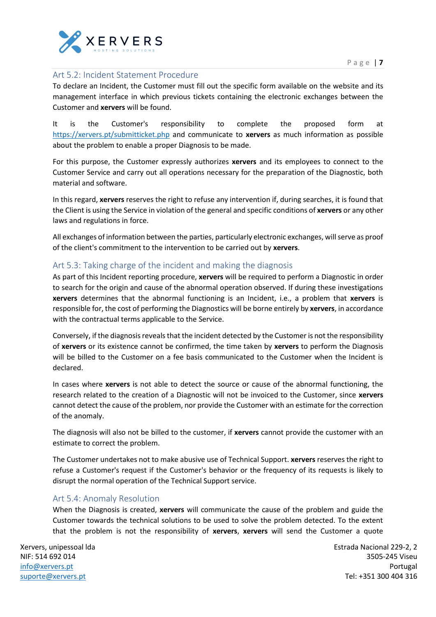

#### <span id="page-6-0"></span>Art 5.2: Incident Statement Procedure

To declare an Incident, the Customer must fill out the specific form available on the website and its management interface in which previous tickets containing the electronic exchanges between the Customer and **xervers** will be found.

It is the Customer's responsibility to complete the proposed form at <https://xervers.pt/submitticket.php> and communicate to **xervers** as much information as possible about the problem to enable a proper Diagnosis to be made.

For this purpose, the Customer expressly authorizes **xervers** and its employees to connect to the Customer Service and carry out all operations necessary for the preparation of the Diagnostic, both material and software.

In this regard, **xervers** reserves the right to refuse any intervention if, during searches, it is found that the Client is using the Service in violation of the general and specific conditions of **xervers** or any other laws and regulations in force.

All exchanges of information between the parties, particularly electronic exchanges, will serve as proof of the client's commitment to the intervention to be carried out by **xervers**.

### <span id="page-6-1"></span>Art 5.3: Taking charge of the incident and making the diagnosis

As part of this Incident reporting procedure, **xervers** will be required to perform a Diagnostic in order to search for the origin and cause of the abnormal operation observed. If during these investigations **xervers** determines that the abnormal functioning is an Incident, i.e., a problem that **xervers** is responsible for, the cost of performing the Diagnostics will be borne entirely by **xervers**, in accordance with the contractual terms applicable to the Service.

Conversely, if the diagnosis reveals that the incident detected by the Customer is not the responsibility of **xervers** or its existence cannot be confirmed, the time taken by **xervers** to perform the Diagnosis will be billed to the Customer on a fee basis communicated to the Customer when the Incident is declared.

In cases where **xervers** is not able to detect the source or cause of the abnormal functioning, the research related to the creation of a Diagnostic will not be invoiced to the Customer, since **xervers** cannot detect the cause of the problem, nor provide the Customer with an estimate for the correction of the anomaly.

The diagnosis will also not be billed to the customer, if **xervers** cannot provide the customer with an estimate to correct the problem.

The Customer undertakes not to make abusive use of Technical Support. **xervers** reserves the right to refuse a Customer's request if the Customer's behavior or the frequency of its requests is likely to disrupt the normal operation of the Technical Support service.

### <span id="page-6-2"></span>Art 5.4: Anomaly Resolution

When the Diagnosis is created, **xervers** will communicate the cause of the problem and guide the Customer towards the technical solutions to be used to solve the problem detected. To the extent that the problem is not the responsibility of **xervers**, **xervers** will send the Customer a quote

Xervers, unipessoal lda NIF: 514 692 014 [info@xervers.pt](mailto:info@xervers.pt) [suporte@xervers.pt](mailto:suporte@xervers.pt)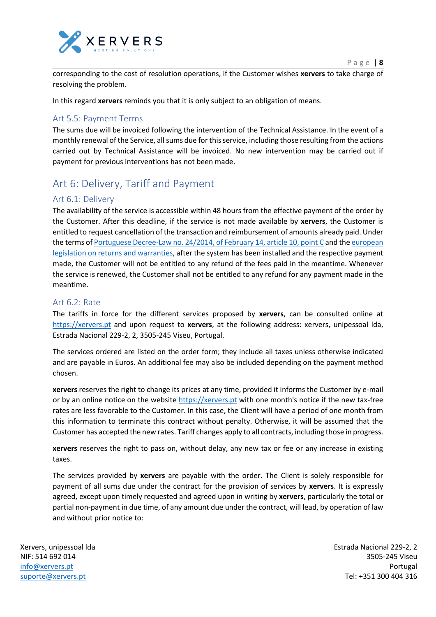

corresponding to the cost of resolution operations, if the Customer wishes **xervers** to take charge of resolving the problem.

In this regard **xervers** reminds you that it is only subject to an obligation of means.

### <span id="page-7-0"></span>Art 5.5: Payment Terms

The sums due will be invoiced following the intervention of the Technical Assistance. In the event of a monthly renewal of the Service, all sums due for this service, including those resulting from the actions carried out by Technical Assistance will be invoiced. No new intervention may be carried out if payment for previous interventions has not been made.

# <span id="page-7-1"></span>Art 6: Delivery, Tariff and Payment

### <span id="page-7-2"></span>Art 6.1: Delivery

The availability of the service is accessible within 48 hours from the effective payment of the order by the Customer. After this deadline, if the service is not made available by **xervers**, the Customer is entitled to request cancellation of the transaction and reimbursement of amounts already paid. Under the terms of Portuguese Decree-Law no. 24/2014, of February 14, article 10, point C and the european legislation on returns and warranties, after the system has been installed and the respective payment made, the Customer will not be entitled to any refund of the fees paid in the meantime. Whenever the service is renewed, the Customer shall not be entitled to any refund for any payment made in the meantime.

#### <span id="page-7-3"></span>Art 6.2: Rate

The tariffs in force for the different services proposed by **xervers**, can be consulted online at [https://xervers.pt](https://xervers.pt/) and upon request to **xervers**, at the following address: xervers, unipessoal lda, Estrada Nacional 229-2, 2, 3505-245 Viseu, Portugal.

The services ordered are listed on the order form; they include all taxes unless otherwise indicated and are payable in Euros. An additional fee may also be included depending on the payment method chosen.

**xervers** reserves the right to change its prices at any time, provided it informs the Customer by e-mail or by an online notice on the website [https://xervers.pt](https://xervers.pt/) with one month's notice if the new tax-free rates are less favorable to the Customer. In this case, the Client will have a period of one month from this information to terminate this contract without penalty. Otherwise, it will be assumed that the Customer has accepted the new rates. Tariff changes apply to all contracts, including those in progress.

**xervers** reserves the right to pass on, without delay, any new tax or fee or any increase in existing taxes.

The services provided by **xervers** are payable with the order. The Client is solely responsible for payment of all sums due under the contract for the provision of services by **xervers**. It is expressly agreed, except upon timely requested and agreed upon in writing by **xervers**, particularly the total or partial non-payment in due time, of any amount due under the contract, will lead, by operation of law and without prior notice to:

Xervers, unipessoal lda NIF: 514 692 014 [info@xervers.pt](mailto:info@xervers.pt) [suporte@xervers.pt](mailto:suporte@xervers.pt)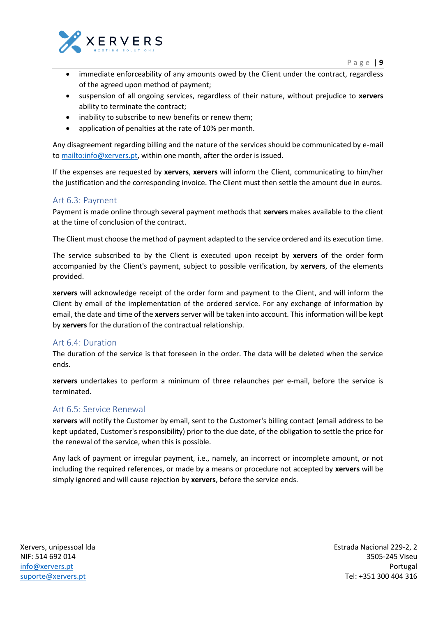

- immediate enforceability of any amounts owed by the Client under the contract, regardless of the agreed upon method of payment;
- suspension of all ongoing services, regardless of their nature, without prejudice to **xervers** ability to terminate the contract;
- inability to subscribe to new benefits or renew them;
- application of penalties at the rate of 10% per month.

Any disagreement regarding billing and the nature of the services should be communicated by e-mail to [mailto:info@xervers.pt,](mailto:info@xervers.pt) within one month, after the order is issued.

If the expenses are requested by **xervers**, **xervers** will inform the Client, communicating to him/her the justification and the corresponding invoice. The Client must then settle the amount due in euros.

#### <span id="page-8-0"></span>Art 6.3: Payment

Payment is made online through several payment methods that **xervers** makes available to the client at the time of conclusion of the contract.

The Client must choose the method of payment adapted to the service ordered and its execution time.

The service subscribed to by the Client is executed upon receipt by **xervers** of the order form accompanied by the Client's payment, subject to possible verification, by **xervers**, of the elements provided.

**xervers** will acknowledge receipt of the order form and payment to the Client, and will inform the Client by email of the implementation of the ordered service. For any exchange of information by email, the date and time of the **xervers** server will be taken into account. This information will be kept by **xervers** for the duration of the contractual relationship.

#### <span id="page-8-1"></span>Art 6.4: Duration

The duration of the service is that foreseen in the order. The data will be deleted when the service ends.

**xervers** undertakes to perform a minimum of three relaunches per e-mail, before the service is terminated.

#### <span id="page-8-2"></span>Art 6.5: Service Renewal

**xervers** will notify the Customer by email, sent to the Customer's billing contact (email address to be kept updated, Customer's responsibility) prior to the due date, of the obligation to settle the price for the renewal of the service, when this is possible.

Any lack of payment or irregular payment, i.e., namely, an incorrect or incomplete amount, or not including the required references, or made by a means or procedure not accepted by **xervers** will be simply ignored and will cause rejection by **xervers**, before the service ends.

Xervers, unipessoal lda NIF: 514 692 014 [info@xervers.pt](mailto:info@xervers.pt) [suporte@xervers.pt](mailto:suporte@xervers.pt)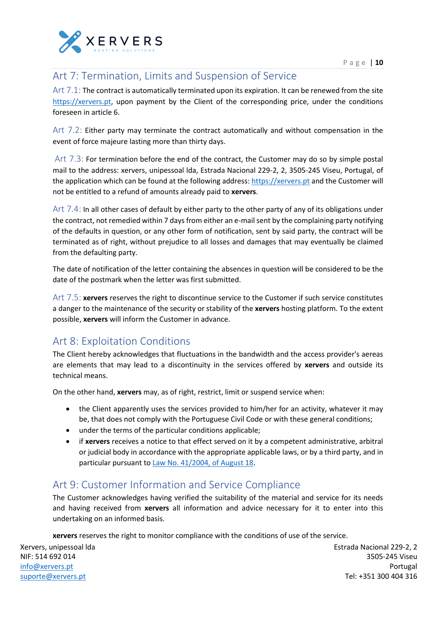

# <span id="page-9-0"></span>Art 7: Termination, Limits and Suspension of Service

<span id="page-9-1"></span>Art 7.1: The contract is automatically terminated upon its expiration. It can be renewed from the site [https://xervers.pt,](https://xervers.pt/) upon payment by the Client of the corresponding price, under the conditions foreseen in article 6.

<span id="page-9-2"></span>Art 7.2: Either party may terminate the contract automatically and without compensation in the event of force majeure lasting more than thirty days.

<span id="page-9-3"></span>Art 7.3: For termination before the end of the contract, the Customer may do so by simple postal mail to the address: xervers, unipessoal lda, Estrada Nacional 229-2, 2, 3505-245 Viseu, Portugal, of the application which can be found at the following address[: https://xervers.pt](https://xervers.pt/) and the Customer will not be entitled to a refund of amounts already paid to **xervers**.

<span id="page-9-4"></span>Art 7.4: In all other cases of default by either party to the other party of any of its obligations under the contract, not remedied within 7 days from either an e-mail sent by the complaining party notifying of the defaults in question, or any other form of notification, sent by said party, the contract will be terminated as of right, without prejudice to all losses and damages that may eventually be claimed from the defaulting party.

The date of notification of the letter containing the absences in question will be considered to be the date of the postmark when the letter was first submitted.

<span id="page-9-5"></span>Art 7.5: **xervers** reserves the right to discontinue service to the Customer if such service constitutes a danger to the maintenance of the security or stability of the **xervers** hosting platform. To the extent possible, **xervers** will inform the Customer in advance.

# <span id="page-9-6"></span>Art 8: Exploitation Conditions

The Client hereby acknowledges that fluctuations in the bandwidth and the access provider's aereas are elements that may lead to a discontinuity in the services offered by **xervers** and outside its technical means.

On the other hand, **xervers** may, as of right, restrict, limit or suspend service when:

- the Client apparently uses the services provided to him/her for an activity, whatever it may be, that does not comply with the Portuguese Civil Code or with these general conditions;
- under the terms of the particular conditions applicable;
- if **xervers** receives a notice to that effect served on it by a competent administrative, arbitral or judicial body in accordance with the appropriate applicable laws, or by a third party, and in particular pursuant to Law No. 41/2004, of August 18.

# <span id="page-9-7"></span>Art 9: Customer Information and Service Compliance

The Customer acknowledges having verified the suitability of the material and service for its needs and having received from **xervers** all information and advice necessary for it to enter into this undertaking on an informed basis.

**xervers** reserves the right to monitor compliance with the conditions of use of the service.

Xervers, unipessoal lda NIF: 514 692 014 [info@xervers.pt](mailto:info@xervers.pt) [suporte@xervers.pt](mailto:suporte@xervers.pt)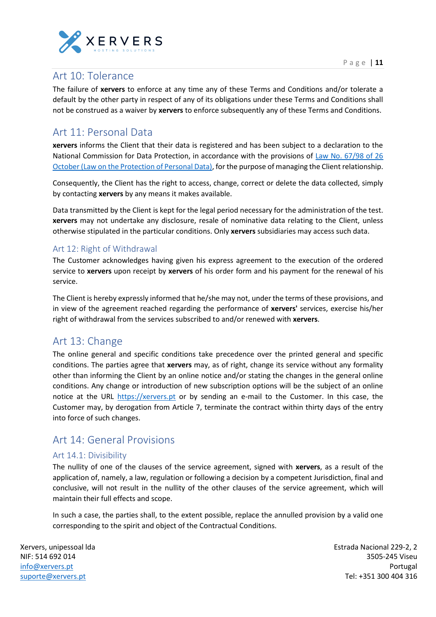



# <span id="page-10-0"></span>Art 10: Tolerance

The failure of **xervers** to enforce at any time any of these Terms and Conditions and/or tolerate a default by the other party in respect of any of its obligations under these Terms and Conditions shall not be construed as a waiver by **xervers** to enforce subsequently any of these Terms and Conditions.

# <span id="page-10-1"></span>Art 11: Personal Data

**xervers** informs the Client that their data is registered and has been subject to a declaration to the National Commission for Data Protection, in accordance with the provisions of Law No. 67/98 of 26 October (Law on the Protection of Personal Data), for the purpose of managing the Client relationship.

Consequently, the Client has the right to access, change, correct or delete the data collected, simply by contacting **xervers** by any means it makes available.

Data transmitted by the Client is kept for the legal period necessary for the administration of the test. **xervers** may not undertake any disclosure, resale of nominative data relating to the Client, unless otherwise stipulated in the particular conditions. Only **xervers** subsidiaries may access such data.

### <span id="page-10-2"></span>Art 12: Right of Withdrawal

The Customer acknowledges having given his express agreement to the execution of the ordered service to **xervers** upon receipt by **xervers** of his order form and his payment for the renewal of his service.

The Client is hereby expressly informed that he/she may not, under the terms of these provisions, and in view of the agreement reached regarding the performance of **xervers'** services, exercise his/her right of withdrawal from the services subscribed to and/or renewed with **xervers**.

# <span id="page-10-3"></span>Art 13: Change

The online general and specific conditions take precedence over the printed general and specific conditions. The parties agree that **xervers** may, as of right, change its service without any formality other than informing the Client by an online notice and/or stating the changes in the general online conditions. Any change or introduction of new subscription options will be the subject of an online notice at the URL [https://xervers.pt](https://xervers.pt/) or by sending an e-mail to the Customer. In this case, the Customer may, by derogation from Article 7, terminate the contract within thirty days of the entry into force of such changes.

# <span id="page-10-4"></span>Art 14: General Provisions

### <span id="page-10-5"></span>Art 14.1: Divisibility

The nullity of one of the clauses of the service agreement, signed with **xervers**, as a result of the application of, namely, a law, regulation or following a decision by a competent Jurisdiction, final and conclusive, will not result in the nullity of the other clauses of the service agreement, which will maintain their full effects and scope.

In such a case, the parties shall, to the extent possible, replace the annulled provision by a valid one corresponding to the spirit and object of the Contractual Conditions.

Xervers, unipessoal lda NIF: 514 692 014 [info@xervers.pt](mailto:info@xervers.pt) [suporte@xervers.pt](mailto:suporte@xervers.pt)